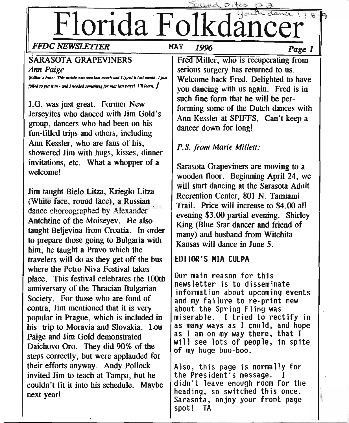# Florida Folkdancer

# *FFDe NEWSLETIER* MAY 1996 *Page 1*

# SARASOTA GRAPEVINERS

*Ann Paige*

*{Editor's Note: This article was sent last month and I typed it last month, I just /tIiI«l* ro *put II '" - tIIttIllWIIaI\_ItbI8ft". dJatItut POle/· 1711•••.••..]*

J.G. was just great. Former New Jerseyites who danced with Jim Gold's group, dancers who had been on his fun-filled trips and others, including Ann Kessler, who are fans of his, showered Jim with hugs, kisses, dinner invitations, etc. What a whopper of a welcome!

Jim taught Bielo Litza, Krieglo Litza  $(White face, round face), a Russian$ dance choreographed by Alexander Antchtine of the Moiseyev. He also taught Beljevina from Croatia. In order to prepare those going to Bulgaria with him, he taught a Pravo which the travelers will do as they get off the bus where the Petro Niva Festival takes place. This festival celebrates the lOOth anniversary of the Thracian Bulgarian Society. For those who are fond of contra, Jim mentioned that it is very popular in Prague, which is included in his trip to Moravia and Slovakia. Lou Paige and Jim Gold demonstrated Daichovo Oro. They did 90% of the steps correctly, but were applauded for their efforts anyway. Andy Pollock invited Jim to teach at Tampa, but he couldn't fit it into his schedule. Maybe next year!

Fred Miller, who is recuperating from serious surgery has returned to us. Welcome back Fred. Delighted to have you dancing with us again. Fred is in such fine form that he will be performing some of the Dutch dances with Ann Kessler at SPIFFS, Can't keep a dancer down for long!

 $b$ , ites

# *P.S.from Marie Millett:*

Sarasota Grapeviners are moving to a wooden floor. Beginning April 24, we will start dancing at the Sarasota Adult Recreation Center, 801 N. Tamiami Trail. Price will increase to \$4.00 all . evening \$3.00 partial evening. Shirley King (Blue Star dancer and friend of many) and husband from Witchita Kansas will dance in June 5.

# EDITOR'S **MIA** CULPA

Our main reason for this newsletter is to disseminate information about upcoming events and my failure to re-print new about the Spring Fling was miserable. I tried to rectify in as many ways as I could, and hope as I am on my way there, that I will see lots of people, in spite of my huge boo-boo.

Also, this page is normally for the President's message. didn't leave enough room for the heading, so switched this once. Sarasota, enjoy your front page spot! TA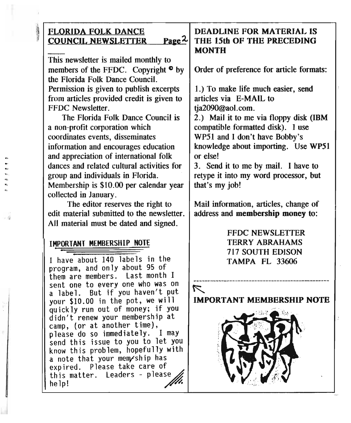# • FLORIDA FOLK DANCE **COUNCIL NEWSLETTER**

This newsletter is mailed monthly to members of the FFDC. Copyright  $\circ$  by the Florida Folk Dance Council. Permission is given to publish excerpts from articles provided credit is given to FFDC Newsletter.

The Florida Folk Dance Council is a non-profit corporation which coordinates events, disseminates information and encourages education and appreciation of international folk dances and related cultural activities for group and individuals in Florida. Membership is \$10.00 per calendar year collected in January.

The editor reserves the right to edit material submitted to the newsletter. All material must be dated and signed.

# IMPORTANT MEMBERSHIP NOTE ,

I have about 140 labels in the program, and only about 95 of them are members. Last month I sent one to every one who was on a label. But if you haven't put your \$10.00 in the pot, we will quickly run out of money; if you didn't renew your membership at camp, (or at another time), please do so immediately. I may send this issue to you to let you know this problem, hopefully with a note that your mem/ship has expired. Please take care of this matter. Leaders - please~ help!

 $\overline{J}$  , and the contract of the contract of the contract of the contract of the contract of the contract of the contract of the contract of the contract of the contract of the contract of the contract of the contract o

# DEADLINE FOR MATERIAL IS Page <sup>2</sup>. THE 15th OF THE PRECEDING **MONTH**

Order of preference for article formats:

1.) To make life much easier, send articles via E-MAIL to tia2090@aol.com.

2.) Mail it to me via floppy disk (IBM compatible formatted disk). I use WP51 and I don't have Bobby's knowledge about importing. Use WP51 or else!

3. Send it to me by mail. I have to retype it into my word processor, but that's my job!

Mail information, articles, change of address and membership money to:

# FFDC NEWSLETTER TERRY ABRAHAMS 717 SOUTH EDISON TAMPA FL 33606

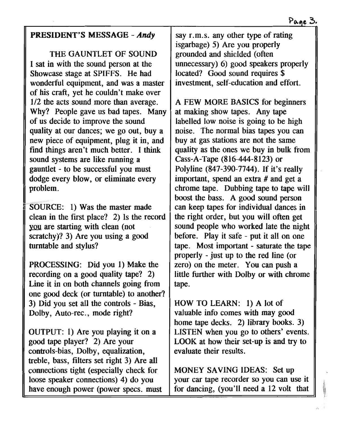# PRESIDENT'S MESSAGE - *Andy*

THE GAUNTLET OF SOUND I sat in with the sound person at the Showcase stage at SPIFFS. He had wonderful equipment, and was a master of his craft, yet he couldn't make over 1/2 the acts sound more than average. Why? People gave us bad tapes. Many of us decide to improve the sound quality at our dances; we go out, buy a new piece of equipment, plug it in, and find things aren't much better. I think sound systems are like running a gauntlet - to be successful you must dodge every blow, or eliminate every problem.

SOURCE: 1) Was the master made clean in the first place? 2) Is the record you are starting with clean (not scratchy)? 3) Are you using a good turntable and stylus?

PROCESSING: Did you 1) Make the recording on a good quality tape? 2) Line it in on both channels going from one good deck (or turntable) to another? 3) Did you set all the controls - Bias, Dolby, Auto-rec., mode right?

OUTPUT: 1) Are you playing it on a good tape player? 2) Are your controls-bias, Dolby, equalization, treble, bass, filters set right 3) Are all connections tight (especially check for loose speaker connections) 4) do you have enough power (power specs. must say r.m.s. any other type of rating isgarbage) 5) Are you properly grounded and shielded (often unnecessary) 6) good speakers properly located? Good sound requires \$ investment, self-education and effort.

A FEW MORE BASICS for beginners at making show tapes. Any tape labelled low noise is going to be high noise. The normal bias tapes you can buy at gas stations are not the same quality as the ones we buy in bulk from Cass-A-Tape (816-444-8123) or Polyline (847-390-7744). If it's really important, spend an extra # and get a chrome tape. Dubbing tape to tape will boost the bass. A good sound person can keep tapes for individual dances in the right order, but you will often get sound people who worked late the night before. Play it safe - put it all on one tape. Most important - saturate the tape properly - just up to the red line (or zero) on the meter. You can push a little further with Dolby or with chrome tape.

HOW TO LEARN: 1) A lot of valuable info comes with may good home tape decks. 2) library books. 3) LISTEN when you go to others' events. LOOK at how their set-up is and try to evaluate their results.

MONEY SAVING IDEAS: Set up your car tape recorder so you can use it for dancing, (you'll need a 12 volt that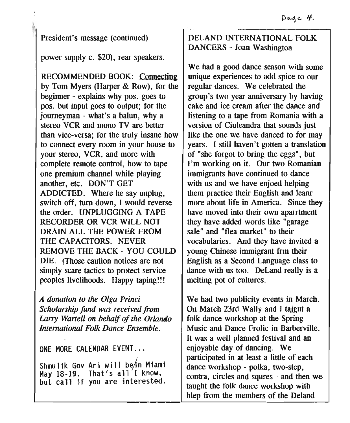# President's message (continued)

power supply c. \$20), rear speakers.

RECOMMENDED BOOK: Connecting by Tom Myers (Harper & Row), for the beginner - explains why pos. goes to pos. but input goes to output; for the journeyman - what's a balun, why a stereo VCR and mono TV are better than vice-versa; for the truly insane how to connect every room in your house to your stereo, VCR, and more with complete remote control, how to tape one premium channel while playing another, etc. DON'T GET ADDICTED. Where he say unplug, switch off, turn down, I would reverse the order. UNPLUGGING A TAPE RECORDER OR VCR WILL NOT DRAIN ALL THE POWER FROM THE CAPACITORS. NEVER REMOVE THE BACK - YOU COULD DIE. (Those caution notices are not simply scare tactics to protect service peoples livelihoods. Happy taping!!!

*A donation to the. Olga Princi . Scholarship fund was received from Larry Wanell on behalf of the Orlando International Folk Dance Ensemble.*

## ONE MORE CALENDAR EVENT...

Shmulik Gov Ari will be/in Miami May  $18-19$ . That's all'I know, but call if you are interested.

# $~\cdot$   $~\cdot$   $~\cdot$   $~\cdot$   $~\cdot$   $~\cdot$   $~\cdot$   $~\cdot$   $~\cdot$   $~\cdot$   $~\cdot$   $~\cdot$   $~\cdot$   $~\cdot$   $~\cdot$   $~\cdot$   $~\cdot$   $~\cdot$   $~\cdot$   $~\cdot$   $~\cdot$   $~\cdot$   $~\cdot$   $~\cdot$   $~\cdot$   $~\cdot$   $~\cdot$   $~\cdot$   $~\cdot$   $~\cdot$   $~\cdot$   $~\cdot$   $~\cdot$   $~\cdot$   $~\cdot$   $~\cdot$   $~\cdot$ DELAND INTERNATIONAL FOLK DANCERS - Joan Washington

We had a good dance season with some unique experiences to add spice to our regular dances. We celebrated the group's two year anniversary by having cake and ice cream after the dance and listening to a tape from Romania with a version of Ciuleandra that sounds just like the one we have danced to for may years. I still haven't gotten a translation of "she forgot to bring the eggs", but I'm working on it. Our two Romanian immigrants have continued to dance with us and we have enjoed helping them practice their English and leanr more about life in America. Since they have moved into their own aparrtment they have added words like "garage sale" and "flea market" to their vocabularies. And they have invited a young Chinese immigrant frm their English as a Second Language class to dance with us too. DeLand really is a melting pot of cultures.

We had two publicity events in March. On March 23rd Wally and I tajgut a folk dance workshop at the Spring Music and Dance Frolic in Barberville. It was a well planned festival and an enjoyable day of dancing. We participated in at least a little of each dance workshop - polka, two-step, contra, circles and squres - and then we taught the folk dance workshop with hlep from the members of the Deland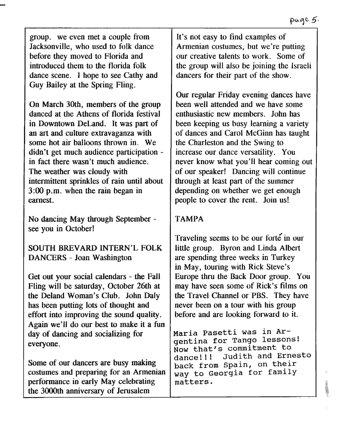group. we even met a couple from Jacksonville, who used to folk dance before they moved to Florida and introduced them to the florida folk dance scene. I hope to see Cathy and Guy Bailey at the Spring Fling.

On March 30th, members of the group danced at the Athens of florida festival in Downtown DeLand. It was part of an art and culture extravaganza with some hot air balloons thrown in. We didn't get much audience participation in fact there wasn't much audience. The weather was cloudy with intermittent sprinkles of rain until about 3:00 p.m. when the rain began in earnest.

No dancing May through September see you in October!

SOUTH BREVARD INTERN'L FOLK DANCERS - Joan Washington

Get out your social calendars - the Fall Fling will be saturday, October 26th at the Deland Woman's Club. John Daly has been putting lots of thought and effort into improving the sound quality. Again we'll do our best to make it a fun day of dancing and socializing for everyone.

Some of our dancers are busy making costumes and preparing for an Armenian performance in early May celebrating the 3000th anniversary of Jerusalem

It's not easy to find examples of Armenian costumes, but we're putting our creative talents to work. Some of the group will also be joining the Israeli dancers for their part of the show.

Our regular Friday evening dances have been well attended and we have some enthusiastic new members. John has been keeping us busy learning a variety of dances and Carol McGinn has taught the Charleston and the Swing to increase our dance versatility. You never know what you'll hear coming out of our speaker! Dancing will continue through at least part of the summer depending on whether we get enough people to cover the rent. Join us!

# TAMPA

Traveling seems to be our forte in our little group. Byron and Linda Albert are spending three weeks in Turkey in May, touring with Rick Steve's Europe thru the Back Door group. You may have seen some of Rick's films on the Travel Channel or PBS. They have never been on a tour with his group before and are looking forward to it.

Maria Pasetti was in Argentina for Tango lessons! NoW that's commitment to dance!!! Judith and Ernesto back from spain, on their way to Georgia for family matters.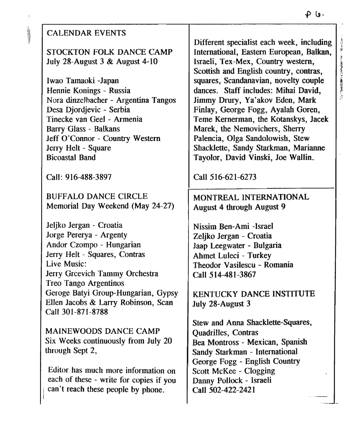|                                         | . قا -4                                   |
|-----------------------------------------|-------------------------------------------|
| <b>CALENDAR EVENTS</b>                  |                                           |
|                                         | Different specialist each week, including |
| STOCKTON FOLK DANCE CAMP                | International, Eastern European, Balkan,  |
| July 28-August 3 & August 4-10          | Israeli, Tex-Mex, Country western,        |
|                                         | Scottish and English country, contras,    |
| Iwao Tamaoki -Japan                     | squares, Scandanavian, novelty couple     |
| Hennie Konings - Russia                 | dances. Staff includes: Mihai David,      |
| Nora dinzelbacher - Argentina Tangos    | Jimmy Drury, Ya'akov Eden, Mark           |
| Desa Djordjevic - Serbia                | Finlay, George Fogg, Ayalah Goren,        |
| Tinecke van Geel - Armenia              | Teme Kernerman, the Kotanskys, Jacek      |
|                                         |                                           |
| <b>Barry Glass - Balkans</b>            | Marek, the Nemovichers, Sherry            |
| Jeff O'Connor - Country Western         | Palencia, Olga Sandolowish, Stew          |
| Jerry Helt - Square                     | Shacklette, Sandy Starkman, Marianne      |
| <b>Bicoastal Band</b>                   | Tayolor, David Vinski, Joe Wallin.        |
| Call: 916-488-3897                      | Call 516-621-6273                         |
| <b>BUFFALO DANCE CIRCLE</b>             | MONTREAL INTERNATIONAL                    |
| Memorial Day Weekend (May 24-27)        | <b>August 4 through August 9</b>          |
|                                         |                                           |
| Jeljko Jergan - Croatia                 | Nissim Ben-Ami -Israel                    |
| Jorge Pererya - Argenty                 | Zeljko Jergan - Croatia                   |
| Andor Czompo - Hungarian                | Jaap Leegwater - Bulgaria                 |
| Jerry Helt - Squares, Contras           | Ahmet Luleci - Turkey                     |
| Live Music:                             | Theodor Vasilescu - Romania               |
| Jerry Grcevich Tammy Orchestra          | Call 514-481-3867                         |
| <b>Treo Tango Argentinos</b>            |                                           |
| Geroge Batyi Group-Hungarian, Gypsy     | <b>KENTUCKY DANCE INSTITUTE</b>           |
| Ellen Jacobs & Larry Robinson, Scan     | July 28-August 3                          |
| Call 301-871-8788                       |                                           |
|                                         | Stew and Anna Shacklette-Squares,         |
| MAINEWOODS DANCE CAMP                   | <b>Quadrilles, Contras</b>                |
| Six Weeks continuously from July 20     | Bea Montross - Mexican, Spanish           |
| through Sept 2,                         | Sandy Starkman - International            |
|                                         |                                           |
| Editor has much more information on     | George Fogg - English Country             |
| each of these - write for copies if you | <b>Scott McKee - Clogging</b>             |
|                                         | Danny Pollock - Israeli                   |
| can't reach these people by phone.      | Call 502-422-2421                         |

 $\hat{f}$ 

was public.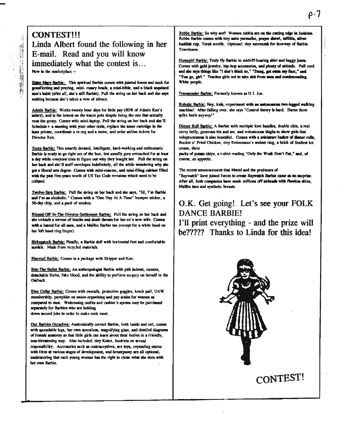# **CONTEST!!!** Linda Albert found the following in her E-mail. Read and you will know immediately what the contest is... New in the marketplace -

光工業

**SALE TO THE STATE** 

Sister Mary Barbie: This spiritual Barbie comes with jointed knees and neck for genufiecting and praying, mini-rosary boads, a mini-bible, and a black sequined mun's babit (after all, she's still Barbie). Pull the string on her back and she says nothing because she's taken a vow of silence.

Admin Barbie: Works twenty hour days for little pay (80% of Admin Ken's salary), and is the lowest on the totem pole despite being the one that actually runs the group. Comes with mini-laptop. Pull the string on her back and she'll Schedule + a meeting with your other dolls, replace the toner cartridge in the laser printer, coordinate a re-org and a move, and order airline tickets for Director Ken

Temp Barbie; This smartly dressed, intelligent, hard-working and enthusiastic Barbie is ready to go right out of the box, but usually goes untouched for at least a day while everyone tries to figure out why they bought her. Pull the string on her back and she'll stuff envelopes indefinitely, all the while wondering why she got a liberal arts degree. Comes with mini-resume, and mini-filing cabinet filled with the past five-years worth of US Tax Code revisions which need to be collated.

Twelve-Step Barbie: Pull the string on her back and she says, "Hi, I'm Barbie and I'm an alcoholic." Comes with a "One Day At A Time" bumper sticker, a 30-day chip, and a pack of smokes.

Ripped-Off-In-The-Divorce-Settlement Barbie: Pull the string on her back and she unloads a torreat of insults and death threats for her ex's new wife. Comes with a haired for all men, and a Malibu Barbie tan (except for a white band on her left hand ring finger).

Birkenstock Barbie; Finally, a Barbie doll with horizontal feet and comfortable sandals. Made from recycled materials.

Bisexual Barbie: Comes in a package with Skipper and Ken.

Bite-The-Bullet Barbie; An anthropologist Barbie with pith helmet, camera, detachable limbs, fake blood, and the ability to perform surgery on herself in the Outback.

Blue Collar Barbie; Comes with overalls, protective goggles, lunch pail, UAW membership, pamphlet on union-organizing and pay acales for women as compared to men. Waitressing outfits and cashier's apross may be purchased separately for Barbies who are holding down second jobs in order to make ends meet.

Our Barbies Qurachves: Anatomically correct Barbie, both inside and out, comes with spreadable legs, her own speculum, magnifying glass, and detailed diagrams of female anatomy so that little girls can learn about their bodies in a friendly, non-threatening way. Also included: tiny Kotex, bookiets on sexual responsibility. Accessories such as contraceptives, sex toys, expanding uterus with fetus at various stages of development, and breastpump are all optional, underscoring that each young woman has the right to chose what she does with her own Barbie.

Rebbe Barbie: So why not? Women rabbis are on the cutting edge in Judnism. Rebbe Barbie comes with tiny satin varmalke, prayer shawl, teffilia, allver itaddish cup, Torah scrolls. Optional: tiny mextuzah for doorway of Barbie **Townhouse** 

Homegirl Barbie: Truly fly Barbie in midriff-bearing shirt and baggy jeans. Cornes with gold jewelry, hip-hop accessories, and plenty of attitude. Pall cord and the says things like "I don't think so," "Dang, get outta my face," and "You go, girl." Teaches girls not to take shit from men and condescending White people.

Transgender Barbie; Formerly known as G.I. Joe.

Robotic Barbie; Hey, kids, experiment with an autonomous two-legged walking machine! After falling over, she says "Control theory is hard. Damn these spike heels anyway!"

Dinner Roll Barbie; A Barbie with multiple love handles, double chin, a real curvy belly, generous tits and ass, and voluminous thighs to show girls that voluntuousness is also beautiful. Comes with a miniature basket of dianer rolls. Bucket o' Fried Chicken, tiny Entenmann's walnut ring, a brick of Sealtest ice cream, three

packs of potato chips, a t-shirt reading "Only the Weak Don't Eat," and, of course, an appetite.

The recent announcement that Mattel and the producers of "Baywatch" have joined forces to create Baywatch Barbie came as no surprise. After all, both companies have made millions off airheads with flawless skins, Malibu tans and synthetic breasts.

# O.K. Get going! Let's see your FOLK **DANCE BARBIE!** I'll print everything - and the prize will

be????? Thanks to Linda for this idea!

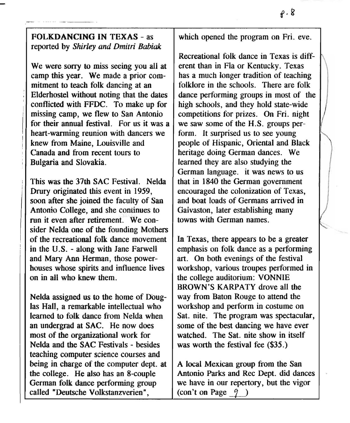# FOLKDANCING IN TEXAS - as reported by *Shirley and Dmitri Babiak*

We were sorry to miss seeing you all at camp this year. We made a prior commitment to teach folk dancing at an Elderhostel without noting that the dates conflicted With FFDC. To make up for missing camp, we flew to San Antonio for their annual festival. For us it was a heart-warming reunion with dancers we knew from Maine, Louisville and Canada and from recent tours to Bulgaria and Slovakia.

This was the 37th SAC Festival. Nelda Drury originated this event in 1959, soon after she joined the faculty of San Antonio College, and she continues to run it even after retirement. We consider Nelda one of the founding Mothers of the recreational folk dance movement in the U.S. - along with Jane Farwell and Mary Ann Herman, those powerhouses whose spirits and influence lives on in all who knew them.

Nelda assigned us to the home of DOuglas Hall, a remarkable intellectual who learned to folk dance from Nelda when an undergrad at SAC. He now does most of the organizational work for Nelda and the SAC Festivals - besides teaching computer science courses and being in charge of the computer dept. at the college. He also has an 8-couple German folk dance performing group called "Deutsche Volkstanzverien",

which opened the program on Fri. eve.

Recreational folk dance in Texas is diff- \ erent than in Fla or Kentucky. Texas has a much longer tradition of teaching folklore in the schools. There are folk dance performing groups in most of the high schools, and they hold state-wide competitions for prizes. On Fri. night we saw some of the H.S. groups perform. It surprised us to see young people of Hispanic, Oriental and Black heritage doing German dances. We learned they are also studying the German language. it was news to us that in 1840 the German government encouraged the colonization of Texas, and boat loads of Germans arrived in Gaivaston, later establishing many towns with German names.

In Texas, there appears to be a greater emphasis on folk dance as a performing art. On both evenings of the festival workshop, various troupes performed in the college auditorium: VONNIE BROWN'S KARPATY drove all the way from Baton Rouge to attend the workshop and perform in costume on Sat. nite. The program was spectacular, some of the best dancing we have ever watched. The Sat. nite show in itself was worth the festival fee (\$35.)

A local Mexican group from the San Antonio Parks and Rec Dept. did dances we have in our repertory, but the vigor (con't on Page  $-9$ )

/

-~..

~.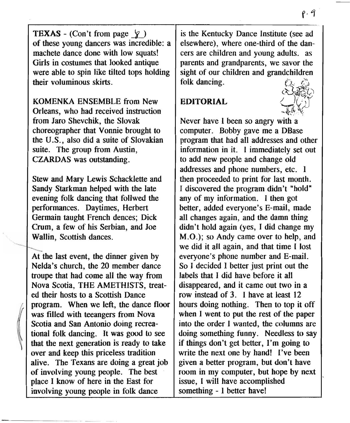**TEXAS** - (Con't from page  $\varphi$ ) of these young dancers was incredible: a machete dance done with low squats! Girls in costumes that looked antique were able to spin like tilted tops holding their voluminous skirts.

KOMENKA ENSEMBLE from New Orleans, who had received instruction from Jaro Shevchik, the Slovak choreographer that Vonnie brought to the U.S., also did a suite of Slovakian suite. The group from Austin, CZARDAS was outstanding.

Stew and Mary Lewis Schacklette and Sandy Starkman helped with the late evening folk dancing that follwed the performances. Daytimes, Herbert Germain taught French dences; Dick Crum, a few of his Serbian, and Joe Wallin, Scottish dances.

At the last event, the dinner given by Nelda's church, the 20 member dance troupe that had come all the way from Nova Scotia, THE AMETHISTS, treated their hosts to a Scottish Dance program. When we left, the dance floor was filled with teeangers from Nova Scotia and San Antonio doing recreational folk dancing. It was good to see that the next generation is ready to take over and keep this priceless tradition alive. The Texans are doing a great job of involving young people. The best place I know of here in the East for involving young people in folk dance

is the Kentucky Dance Institute (see ad elsewhere), where one-third of the dancers are children and young adults. as parents and grandparents, we savor the sight of our children and grandchildren folk dancing.

# EDITORIAL



Never have I been so angry with a computer. Bobby gave me a DBase program that had all addresses and other information in it. I immediately set out to add new people and change old addresses and phone numbers, etc. I then proceeded to print for last month. I discovered the program didn't "hold" any of my information. I then got better, added everyone's E-mail, made all changes again, and the damn thing didn't hold again (yes, I did change my M.O.); so Andy came over to help, and we did it all again, and that time I lost everyone's phone number and E-mail. So I decided I better just print out the labels that I did have before it all disappeared, and it came out two in a row instead of 3. I have at least 12 hours doing nothing. Then to top it off when I went to put the rest of the paper into the order I wanted, the columns are doing something funny. Needless to say if things don't get better, I'm going to write the next one by hand! I've been given a better program, but don't have room in my computer, but hope by next issue, I will have accomplished something - I better have!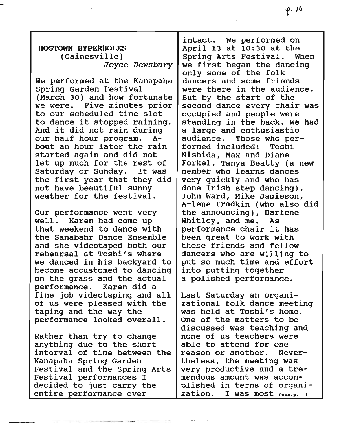### HOGTOWN HYPERBOLES (Gainesville) *Joyce Dewsbury*

We performed at the Kanapaha Spring Garden Festival (March 30) and how fortunate we were. Five minutes prior to our scheduled time slot to dance it stopped raining. And it did not rain during our half hour program. A-

bout an hour later the rain started again and did not let up much for the rest of Saturday or sunday. It was the first year that they did not have beautiful sunny weather for the festival.

Our performance went very well. Karen had come up that weekend to dance with the Sanabahr Dance Ensemble and she videotaped both our rehearsal at Toshi's where we danced in his backyard to become accustomed to dancing on the grass and the actual performance. Karen did a fine job videotaping and all of us were pleased with the taping and the way the performance looked overall.

Rather than try to change anything due to the short interval of time between the Kanapaha Spring Garden Festival and the Spring Arts Festival performances I decided to just carry the entire performance over

intact. We performed on April 13 at 10:30 at the Spring Arts Festival. When we first began the dancing only some of the folk dancers and some friends were there in the audience. But by the start of the second dance every chair was occupied and people were standing in the back. We had a large and enthusiastic<br>audience. Those who per Those who performed included: Toshi Nishida, Max and Diane Forkel, Tanya Beatty (a new member who learns dances very quickly and who has done Irish step dancing), John Ward, Mike Jamieson, Arlene Fradkin (who also did the announcing), Darlene Whitley, and me. As performance chair it has been great to work with these friends and fellow dancers who are willing to put so much time and effort into putting together a polished performance.

Last Saturday an organizational folk dance meeting was held at Toshi's home. One of the matters to be discussed was teaching and none of us teachers were able to attend for one reason or another. Nevertheless, the meeting was very productive and a tremendous amount was accomplished in terms of organization. I was most  $(con.p...)$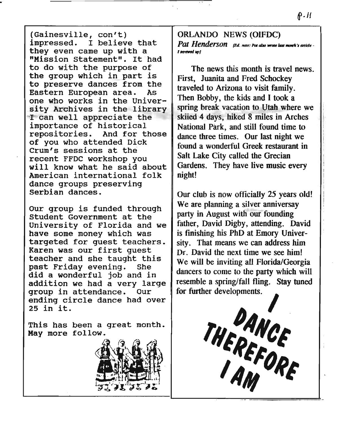(Gainesville, con't) impressed. I believe that they even came up with a "Mission statement". It had to do with the purpose of the group which in part is to preserve dances from the Eastern European area. As one who works in the University Archives in the library I can well appreciate the importance of historical repositories. And for those of you who attended Dick Crum's sessions at the recent FFDC workshop you will know what he said about American international folk dance groups preserving Serbian dances.

Our group is funded through Student Government at the University of Florida and we have some money which was targeted for guest teachers. Karen was our first guest teacher and she taught this past Friday evening. She did a wonderful job and in addition we had a very large group in attendance. Our ending circle dance had over 25 in it.

This has been a great month. May more follow.



ORLANDO NEWS (OIFDC) *Pat Henderson <i><u>Rd. note: Pat also wrote last month's article-</u> "\_IMI~J*

The news this month is travel news. First, Juanita and Fred Schockey traveled to Arizona to visit family. . Then Bobby, the kids and I took a spring break vacation to Utah where we skiied 4 days, hiked 8 miles in Arches National Park, and still found time to dance three times. Our last night we found a wonderful Greek restaurant in Salt Lake City called the Grecian Gardens. They have live music every night!

Our club is now officially 25 years old! We are planning a silver anniversay party in August with our founding father, David Digby, attending. David is fmishing his PhD at Emory University. That means we can address him Dr. David the next time we see him! We will be inviting all Florida/Georgia dancers to come to the party which will resemble a spring/fall fling. Stay tuned We will be inviting all Florida<br>dancers to come to the party v<br>resemble a spring/fall fling. S<br>for further developments.